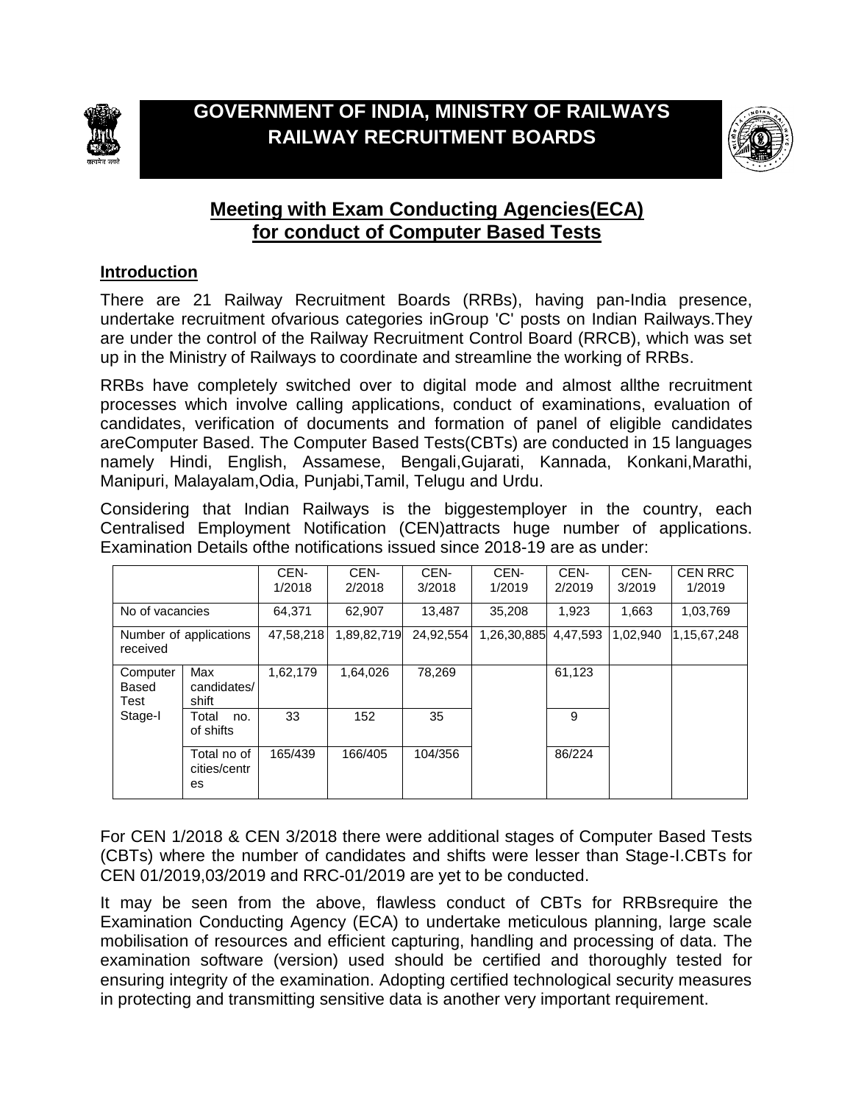



# **Meeting with Exam Conducting Agencies(ECA) for conduct of Computer Based Tests**

#### **Introduction**

There are 21 Railway Recruitment Boards (RRBs), having pan-India presence, undertake recruitment ofvarious categories inGroup 'C' posts on Indian Railways.They are under the control of the Railway Recruitment Control Board (RRCB), which was set up in the Ministry of Railways to coordinate and streamline the working of RRBs.

RRBs have completely switched over to digital mode and almost allthe recruitment processes which involve calling applications, conduct of examinations, evaluation of candidates, verification of documents and formation of panel of eligible candidates areComputer Based. The Computer Based Tests(CBTs) are conducted in 15 languages namely Hindi, English, Assamese, Bengali,Gujarati, Kannada, Konkani,Marathi, Manipuri, Malayalam,Odia, Punjabi,Tamil, Telugu and Urdu.

Considering that Indian Railways is the biggestemployer in the country, each Centralised Employment Notification (CEN)attracts huge number of applications. Examination Details ofthe notifications issued since 2018-19 are as under:

|                                      |                                   | CEN-<br>1/2018 | CEN-<br>2/2018 | CEN-<br>3/2018 | CEN-<br>1/2019 | CEN-<br>2/2019 | CEN-<br>3/2019 | <b>CEN RRC</b><br>1/2019 |
|--------------------------------------|-----------------------------------|----------------|----------------|----------------|----------------|----------------|----------------|--------------------------|
| No of vacancies                      |                                   | 64.371         | 62.907         | 13.487         | 35.208         | 1.923          | 1,663          | 1,03,769                 |
| Number of applications<br>received   |                                   | 47.58.218      | 1,89,82,719    | 24,92,554      | 1,26,30,885    | 4.47.593       | 1,02,940       | 1,15,67,248              |
| Computer<br>Based<br>Test<br>Stage-I | Max<br>candidates/<br>shift       | 1,62,179       | 1.64.026       | 78.269         |                | 61,123         |                |                          |
|                                      | Total<br>no.<br>of shifts         | 33             | 152            | 35             |                | 9              |                |                          |
|                                      | Total no of<br>cities/centr<br>es | 165/439        | 166/405        | 104/356        |                | 86/224         |                |                          |

For CEN 1/2018 & CEN 3/2018 there were additional stages of Computer Based Tests (CBTs) where the number of candidates and shifts were lesser than Stage-I.CBTs for CEN 01/2019,03/2019 and RRC-01/2019 are yet to be conducted.

It may be seen from the above, flawless conduct of CBTs for RRBsrequire the Examination Conducting Agency (ECA) to undertake meticulous planning, large scale mobilisation of resources and efficient capturing, handling and processing of data. The examination software (version) used should be certified and thoroughly tested for ensuring integrity of the examination. Adopting certified technological security measures in protecting and transmitting sensitive data is another very important requirement.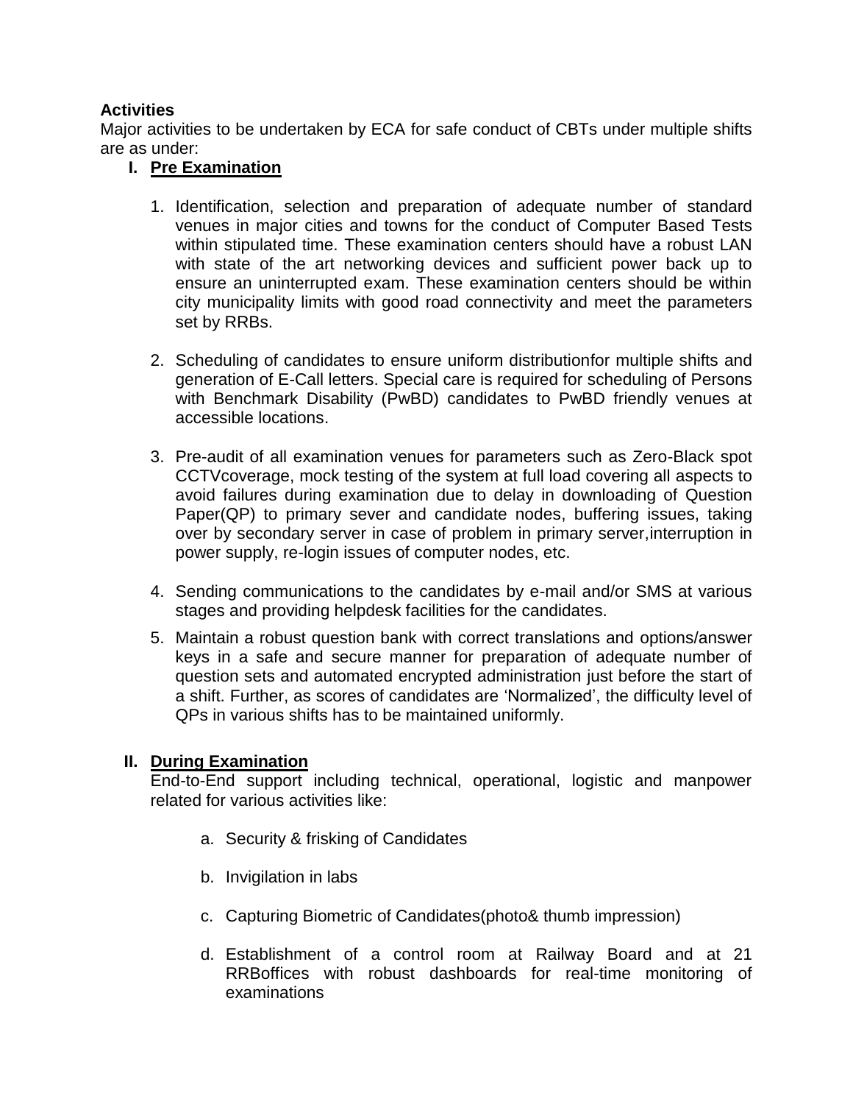### **Activities**

Major activities to be undertaken by ECA for safe conduct of CBTs under multiple shifts are as under:

## **I. Pre Examination**

- 1. Identification, selection and preparation of adequate number of standard venues in major cities and towns for the conduct of Computer Based Tests within stipulated time. These examination centers should have a robust LAN with state of the art networking devices and sufficient power back up to ensure an uninterrupted exam. These examination centers should be within city municipality limits with good road connectivity and meet the parameters set by RRBs.
- 2. Scheduling of candidates to ensure uniform distributionfor multiple shifts and generation of E-Call letters. Special care is required for scheduling of Persons with Benchmark Disability (PwBD) candidates to PwBD friendly venues at accessible locations.
- 3. Pre-audit of all examination venues for parameters such as Zero-Black spot CCTVcoverage, mock testing of the system at full load covering all aspects to avoid failures during examination due to delay in downloading of Question Paper(QP) to primary sever and candidate nodes, buffering issues, taking over by secondary server in case of problem in primary server,interruption in power supply, re-login issues of computer nodes, etc.
- 4. Sending communications to the candidates by e-mail and/or SMS at various stages and providing helpdesk facilities for the candidates.
- 5. Maintain a robust question bank with correct translations and options/answer keys in a safe and secure manner for preparation of adequate number of question sets and automated encrypted administration just before the start of a shift. Further, as scores of candidates are 'Normalized', the difficulty level of QPs in various shifts has to be maintained uniformly.

### **II. During Examination**

End-to-End support including technical, operational, logistic and manpower related for various activities like:

- a. Security & frisking of Candidates
- b. Invigilation in labs
- c. Capturing Biometric of Candidates(photo& thumb impression)
- d. Establishment of a control room at Railway Board and at 21 RRBoffices with robust dashboards for real-time monitoring of examinations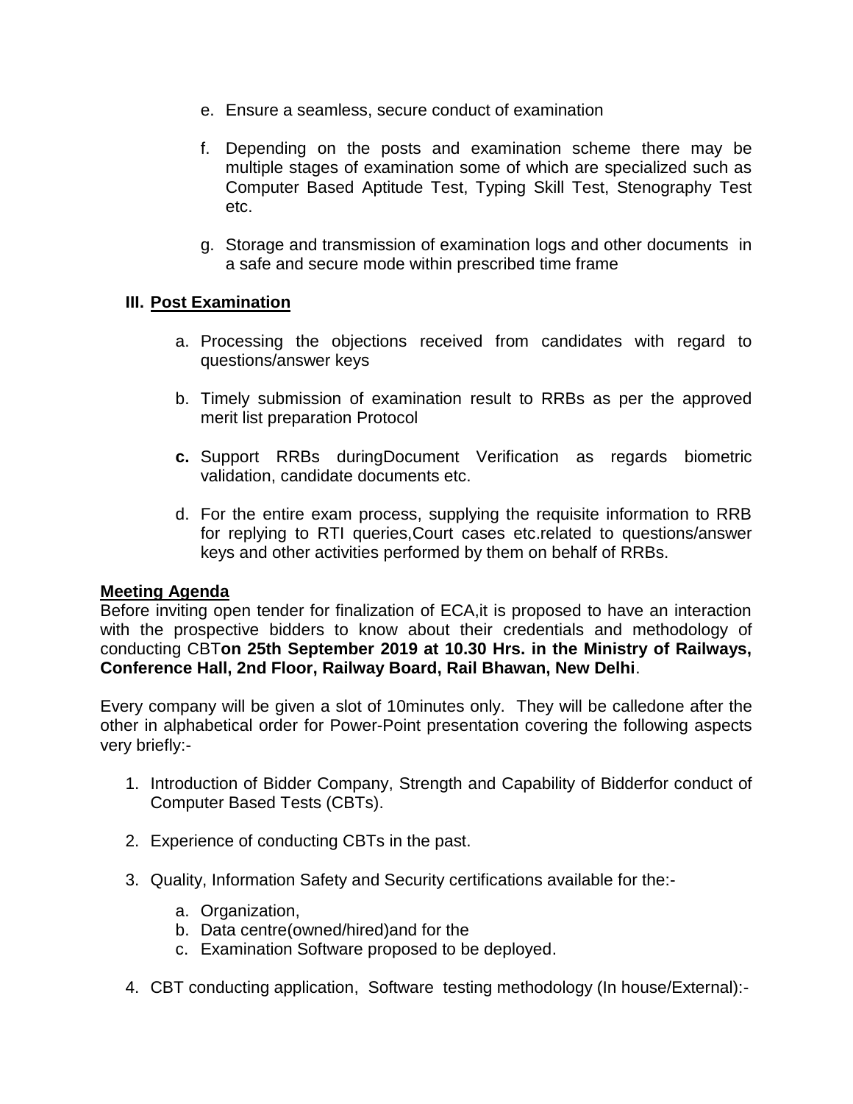- e. Ensure a seamless, secure conduct of examination
- f. Depending on the posts and examination scheme there may be multiple stages of examination some of which are specialized such as Computer Based Aptitude Test, Typing Skill Test, Stenography Test etc.
- g. Storage and transmission of examination logs and other documents in a safe and secure mode within prescribed time frame

#### **III. Post Examination**

- a. Processing the objections received from candidates with regard to questions/answer keys
- b. Timely submission of examination result to RRBs as per the approved merit list preparation Protocol
- **c.** Support RRBs duringDocument Verification as regards biometric validation, candidate documents etc.
- d. For the entire exam process, supplying the requisite information to RRB for replying to RTI queries,Court cases etc.related to questions/answer keys and other activities performed by them on behalf of RRBs.

#### **Meeting Agenda**

Before inviting open tender for finalization of ECA,it is proposed to have an interaction with the prospective bidders to know about their credentials and methodology of conducting CBT**on 25th September 2019 at 10.30 Hrs. in the Ministry of Railways, Conference Hall, 2nd Floor, Railway Board, Rail Bhawan, New Delhi**.

Every company will be given a slot of 10minutes only. They will be calledone after the other in alphabetical order for Power-Point presentation covering the following aspects very briefly:-

- 1. Introduction of Bidder Company, Strength and Capability of Bidderfor conduct of Computer Based Tests (CBTs).
- 2. Experience of conducting CBTs in the past.
- 3. Quality, Information Safety and Security certifications available for the:
	- a. Organization,
	- b. Data centre(owned/hired)and for the
	- c. Examination Software proposed to be deployed.
- 4. CBT conducting application, Software testing methodology (In house/External):-